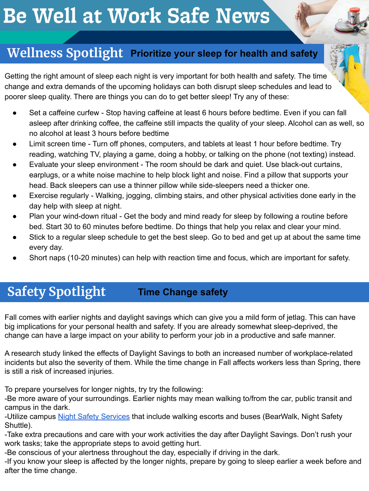# **Be Well at Work Safe News**

## **Wellness Spotlight Prioritize your sleep for health and safety**

Getting the right amount of sleep each night is very important for both health and safety. The time change and extra demands of the upcoming holidays can both disrupt sleep schedules and lead to poorer sleep quality. There are things you can do to get better sleep! Try any of these:

- Set a caffeine curfew Stop having caffeine at least 6 hours before bedtime. Even if you can fall asleep after drinking coffee, the caffeine still impacts the quality of your sleep. Alcohol can as well, so no alcohol at least 3 hours before bedtime
- Limit screen time Turn off phones, computers, and tablets at least 1 hour before bedtime. Try reading, watching TV, playing a game, doing a hobby, or talking on the phone (not texting) instead.
- Evaluate your sleep environment The room should be dark and quiet. Use black-out curtains, earplugs, or a white noise machine to help block light and noise. Find a pillow that supports your head. Back sleepers can use a thinner pillow while side-sleepers need a thicker one.
- Exercise regularly Walking, jogging, climbing stairs, and other physical activities done early in the day help with sleep at night.
- Plan your wind-down ritual Get the body and mind ready for sleep by following a routine before bed. Start 30 to 60 minutes before bedtime. Do things that help you relax and clear your mind.
- Stick to a regular sleep schedule to get the best sleep. Go to bed and get up at about the same time every day.
- Short naps (10-20 minutes) can help with reaction time and focus, which are important for safety.

## **Safety Spotlight Time Change safety**

Fall comes with earlier nights and daylight savings which can give you a mild form of jetlag. This can have big implications for your personal health and safety. If you are already somewhat sleep-deprived, the change can have a large impact on your ability to perform your job in a productive and safe manner.

A research study linked the effects of Daylight Savings to both an increased number of workplace-related incidents but also the severity of them. While the time change in Fall affects workers less than Spring, there is still a risk of increased injuries.

To prepare yourselves for longer nights, try try the following:

-Be more aware of your surroundings. Earlier nights may mean walking to/from the car, public transit and campus in the dark.

-Utilize campus [Night Safety Services](https://nightsafety.berkeley.edu/home) that include walking escorts and buses (BearWalk, Night Safety Shuttle).

-Take extra precautions and care with your work activities the day after Daylight Savings. Don't rush your work tasks; take the appropriate steps to avoid getting hurt.

-Be conscious of your alertness throughout the day, especially if driving in the dark.

-If you know your sleep is affected by the longer nights, prepare by going to sleep earlier a week before and after the time change.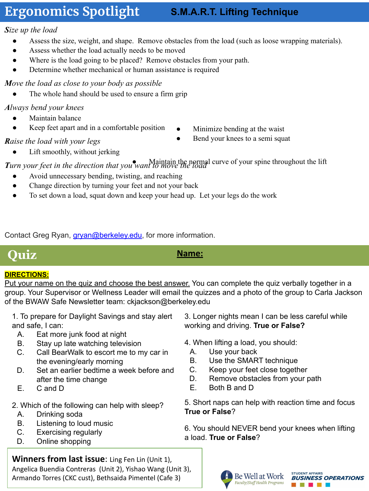## **Ergonomics Spotlight**

#### **S.M.A.R.T. Lifting Technique**

#### *Size up the load*

- Assess the size, weight, and shape. Remove obstacles from the load (such as loose wrapping materials).
- Assess whether the load actually needs to be moved
- Where is the load going to be placed? Remove obstacles from your path.
- Determine whether mechanical or human assistance is required

#### *Move the load as close to your body as possible*

The whole hand should be used to ensure a firm grip

#### *Always bend your knees*

- Maintain balance
- Keep feet apart and in a comfortable position
- Minimize bending at the waist

Bend your knees to a semi squat

- *Raise the load with your legs*
	- Lift smoothly, without jerking

*Turn your feet in the direction that you* want to move the normal curve of your spine throughout the lift

- Avoid unnecessary bending, twisting, and reaching
- Change direction by turning your feet and not your back
- To set down a load, squat down and keep your head up. Let your legs do the work

Contact Greg Ryan, *gryan@berkeley.edu*, for more information.

## **Quiz Name:**

#### **DIRECTIONS:**

Put your name on the quiz and choose the best answer. You can complete the quiz verbally together in a group. Your Supervisor or Wellness Leader will email the quizzes and a photo of the group to Carla Jackson of the BWAW Safe Newsletter team: ckjackson@berkeley.edu

- 1. To prepare for Daylight Savings and stay alert and safe, I can:
	- A. Eat more junk food at night
	- B. Stay up late watching television
	- C. Call BearWalk to escort me to my car in the evening/early morning
	- D. Set an earlier bedtime a week before and after the time change
	- E. C and D
- 2. Which of the following can help with sleep?
- A. Drinking soda
- B. Listening to loud music
- C. Exercising regularly
- D. Online shopping

**Winners from last issue**: Ling Fen Lin (Unit 1), Angelica Buendia Contreras (Unit 2), Yishao Wang (Unit 3), Armando Torres (CKC cust), Bethsaida Pimentel (Cafe 3)

- 3. Longer nights mean I can be less careful while working and driving. **True or False?**
- 4. When lifting a load, you should:
	- A. Use your back
	- B. Use the SMART technique
	- C. Keep your feet close together
	- D. Remove obstacles from your path
	- E. Both B and D

5. Short naps can help with reaction time and focus **True or False**?

6. You should NEVER bend your knees when lifting a load. **True or False**?



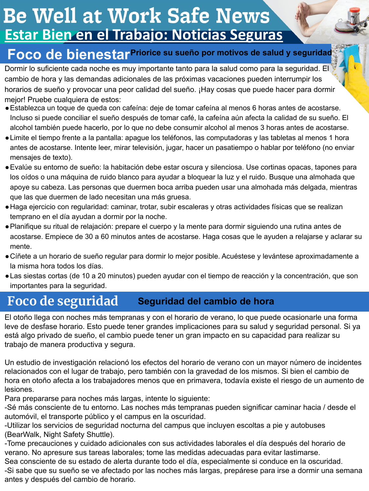## **Be Well at Work Safe News Estar Bien en el Trabajo: Noticias Seguras**

## **Foco de bienestar Priorice su sueño por motivos de salud y seguridad**

Dormir lo suficiente cada noche es muy importante tanto para la salud como para la seguridad. El cambio de hora y las demandas adicionales de las próximas vacaciones pueden interrumpir los horarios de sueño y provocar una peor calidad del sueño. ¡Hay cosas que puede hacer para dormir mejor! Pruebe cualquiera de estos:

- ●Establezca un toque de queda con cafeína: deje de tomar cafeína al menos 6 horas antes de acostarse. Incluso si puede conciliar el sueño después de tomar café, la cafeína aún afecta la calidad de su sueño. El alcohol también puede hacerlo, por lo que no debe consumir alcohol al menos 3 horas antes de acostarse.
- ●Limite el tiempo frente a la pantalla: apague los teléfonos, las computadoras y las tabletas al menos 1 hora antes de acostarse. Intente leer, mirar televisión, jugar, hacer un pasatiempo o hablar por teléfono (no enviar mensajes de texto).
- ●Evalúe su entorno de sueño: la habitación debe estar oscura y silenciosa. Use cortinas opacas, tapones para los oídos o una máquina de ruido blanco para ayudar a bloquear la luz y el ruido. Busque una almohada que apoye su cabeza. Las personas que duermen boca arriba pueden usar una almohada más delgada, mientras que las que duermen de lado necesitan una más gruesa.
- ●Haga ejercicio con regularidad: caminar, trotar, subir escaleras y otras actividades físicas que se realizan temprano en el día ayudan a dormir por la noche.
- ●Planifique su ritual de relajación: prepare el cuerpo y la mente para dormir siguiendo una rutina antes de acostarse. Empiece de 30 a 60 minutos antes de acostarse. Haga cosas que le ayuden a relajarse y aclarar su mente.
- ●Cíñete a un horario de sueño regular para dormir lo mejor posible. Acuéstese y levántese aproximadamente a la misma hora todos los días.
- ●Las siestas cortas (de 10 a 20 minutos) pueden ayudar con el tiempo de reacción y la concentración, que son importantes para la seguridad.

#### **Foco de seguridad Seguridad del cambio de hora**

El otoño llega con noches más tempranas y con el horario de verano, lo que puede ocasionarle una forma leve de desfase horario. Esto puede tener grandes implicaciones para su salud y seguridad personal. Si ya está algo privado de sueño, el cambio puede tener un gran impacto en su capacidad para realizar su trabajo de manera productiva y segura.

Un estudio de investigación relacionó los efectos del horario de verano con un mayor número de incidentes relacionados con el lugar de trabajo, pero también con la gravedad de los mismos. Si bien el cambio de hora en otoño afecta a los trabajadores menos que en primavera, todavía existe el riesgo de un aumento de lesiones.

Para prepararse para noches más largas, intente lo siguiente:

-Sé más consciente de tu entorno. Las noches más tempranas pueden significar caminar hacia / desde el automóvil, el transporte público y el campus en la oscuridad.

-Utilizar los servicios de seguridad nocturna del campus que incluyen escoltas a pie y autobuses (BearWalk, Night Safety Shuttle).

-Tome precauciones y cuidado adicionales con sus actividades laborales el día después del horario de verano. No apresure sus tareas laborales; tome las medidas adecuadas para evitar lastimarse.

Sea consciente de su estado de alerta durante todo el día, especialmente si conduce en la oscuridad.

-Si sabe que su sueño se ve afectado por las noches más largas, prepárese para irse a dormir una semana antes y después del cambio de horario.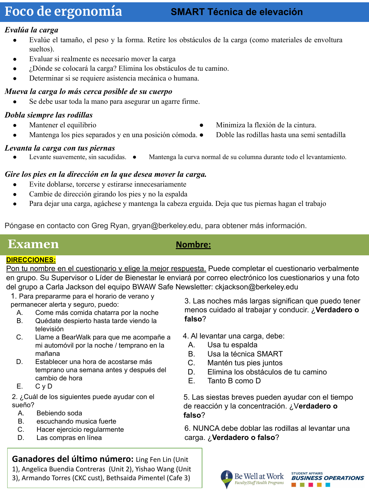## **Foco de ergonomía**

#### **SMART Técnica de elevación**

#### *Evalúa la carga*

- Evalúe el tamaño, el peso y la forma. Retire los obstáculos de la carga (como materiales de envoltura sueltos).
- Evaluar si realmente es necesario mover la carga
- ¿Dónde se colocará la carga? Elimina los obstáculos de tu camino.
- Determinar si se requiere asistencia mecánica o humana.

#### *Mueva la carga lo más cerca posible de su cuerpo*

Se debe usar toda la mano para asegurar un agarre firme.

#### *Dobla siempre las rodillas*

- Mantener el equilibrio
- Mantenga los pies separados y en una posición cómoda.  $\bullet$

#### *Levanta la carga con tus piernas*

Levante suavemente, sin sacudidas.  $\bullet$ Mantenga la curva normal de su columna durante todo el levantamiento.

#### *Gire los pies en la dirección en la que desea mover la carga.*

- Evite doblarse, torcerse y estirarse innecesariamente
- Cambie de dirección girando los pies y no la espalda
- Para dejar una carga, agáchese y mantenga la cabeza erguida. Deja que tus piernas hagan el trabajo

Póngase en contacto con Greg Ryan, gryan@berkeley.edu, para obtener más información.

### **Examen** *Nombre:*

#### **DIRECCIONES:**

Pon tu nombre en el cuestionario y elige la mejor respuesta. Puede completar el cuestionario verbalmente en grupo. Su Supervisor o Líder de Bienestar le enviará por correo electrónico los cuestionarios y una foto del grupo a Carla Jackson del equipo BWAW Safe Newsletter: ckjackson@berkeley.edu

1. Para prepararme para el horario de verano y permanecer alerta y seguro, puedo:

- A. Come más comida chatarra por la noche
- B. Quédate despierto hasta tarde viendo la televisión
- C. Llame a BearWalk para que me acompañe a mi automóvil por la noche / temprano en la mañana
- D. Establecer una hora de acostarse más temprano una semana antes y después del cambio de hora
- E. C y D

2. ¿Cuál de los siguientes puede ayudar con el sueño?

- A. Bebiendo soda
- B. escuchando musica fuerte
- C. Hacer ejercicio regularmente
- D. Las compras en línea

3. Las noches más largas significan que puedo tener menos cuidado al trabajar y conducir. ¿**Verdadero o falso**?

● Minimiza la flexión de la cintura.

● Doble las rodillas hasta una semi sentadilla

- 4. Al levantar una carga, debe:
	- A. Usa tu espalda
	- B. Usa la técnica SMART
	- C. Mantén tus pies juntos
	- D. Elimina los obstáculos de tu camino
	- E. Tanto B como D

5. Las siestas breves pueden ayudar con el tiempo de reacción y la concentración. ¿V**erdadero o falso**?

6. NUNCA debe doblar las rodillas al levantar una carga. ¿**Verdadero o falso**?

**Ganadores del último número:** Ling Fen Lin (Unit 1), Angelica Buendia Contreras (Unit 2), Yishao Wang (Unit

3), Armando Torres (CKC cust), Bethsaida Pimentel (Cafe 3)



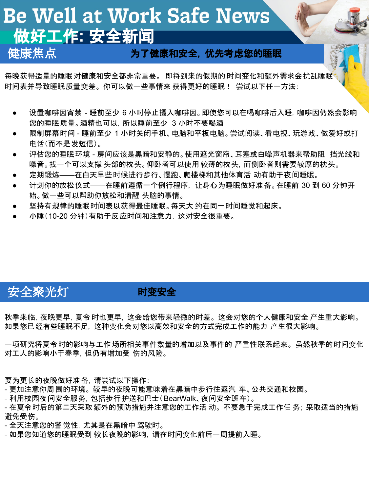## Be Well at Work Safe News 做好工作**:** 安全新闻

#### 健康焦点 为了健康和安全,优先考虑您的睡眠

每晚获得适量的睡眠对健康和安全都非常重要。 即将到来的假期的 时间变化和额外需求会扰乱睡眠 时间表并导致睡眠质量变差。 你可以做一些事情来 获得更好的睡眠! 尝试以下任一方法:

- 设置咖啡因宵禁 睡前至少 6 小时停止摄入咖啡因。即使您可以在喝咖啡后入睡, 咖啡因仍然会影响 您的睡眠质量。酒精也可以,所以睡前至少 3 小时不要喝酒
- 限制屏幕时间 睡前至少 1 小时关闭手机、电脑和平板电脑。尝试阅读、看电视、玩游戏、做爱好或打 电话(而不是发短信)。
- 评估您的睡眠 环境 房间应该是黑暗和安静的。使用遮光窗帘、耳塞或白噪声机器来帮助阻 挡光线和 噪音。找一个可以支撑 头部的枕头。仰卧者可以使用 较薄的枕头,而侧卧者则需要较厚的枕头。
- 定期锻炼——在白天早些时候进行步行、慢跑、爬楼梯和其他体育活 动有助于夜间睡眠。
- 计划你的放松仪式——在睡前遵循一个例行程序, 让身心为睡眠做好准备。在睡前 30 到 60 分钟开 始。做一些可以帮助你放松和清醒 头脑的事情。
- 坚持有规律的睡眠时间表以获得最佳睡眠。每天大 约在同一时间睡觉和起床。
- 小睡(10-20 分钟)有助于反应时间和注意力,这对安全很重要。

## 安全聚光灯 时变安全

秋季来临,夜晚更早,夏令 时也更早,这会给您带来轻微的时差。 这会对您的个人健康和安全 产生重大影响。 如果您已经有些睡眠不足,这种变化会对您以高效和安全的方式完成工作的能力 产生很大影响。

一项研究将夏令时的影响与工作场所相关事件数量的增加以及事件的 严重性联系起来。 虽然秋季的时间变化 对工人的影响小于春季,但仍有增加受 伤的风险。

要为更长的夜晚做好准备,请尝试以下操作:

- 更加注意你周围的环境。 较早的夜晚可能意味着在黑暗中步行往返汽 车、公共交通和校园。

- 利用校园夜间安全服务,包括步行护送和巴士(BearWalk、夜间安全班车)。

- 在夏令时后的第二天采取额外的预防措施并注意您的工作活 动。 不要急于完成工作任 务; 采取适当的措施 避免受伤。

- 全天注意您的警觉性,尤其是在黑暗中 驾驶时。

- 如果您知道您的睡眠受到 较长夜晚的影响,请在时间变化前后一周提前入睡。